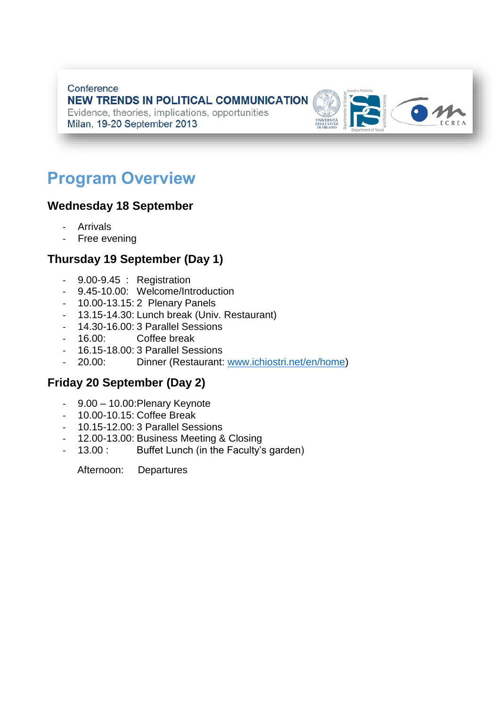Conference **NEW TRENDS IN POLITICAL COMMUNICATION** Evidence, theories, implications, opportunities Milan, 19-20 September 2013



# **Program Overview**

### **Wednesday 18 September**

- **Arrivals**
- Free evening

### **Thursday 19 September (Day 1)**

- 9.00-9.45 : Registration
- 9.45-10.00: Welcome/Introduction
- 10.00-13.15: 2 Plenary Panels
- 13.15-14.30: Lunch break (Univ. Restaurant)
- 14.30-16.00: 3 Parallel Sessions
- 16.00: Coffee break
- 16.15-18.00: 3 Parallel Sessions
- 20.00: Dinner (Restaurant: [www.ichiostri.net/en/home\)](http://www.ichiostri.net/en/home)

### **Friday 20 September (Day 2)**

- 9.00 10.00:Plenary Keynote
- 10.00-10.15: Coffee Break
- 10.15-12.00: 3 Parallel Sessions
- 12.00-13.00: Business Meeting & Closing
- 13.00 : Buffet Lunch (in the Faculty's garden)

Afternoon: Departures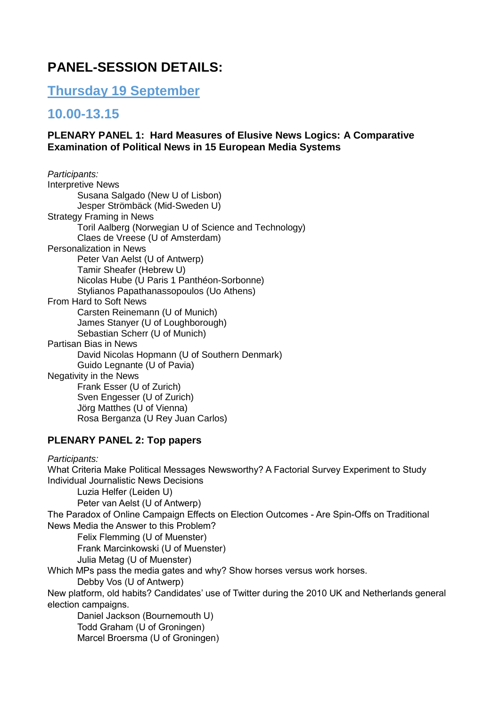# **PANEL-SESSION DETAILS:**

**Thursday 19 September**

## **10.00-13.15**

#### **PLENARY PANEL 1: Hard Measures of Elusive News Logics: A Comparative Examination of Political News in 15 European Media Systems**

| Participants:                                         |
|-------------------------------------------------------|
| <b>Interpretive News</b>                              |
| Susana Salgado (New U of Lisbon)                      |
| Jesper Strömbäck (Mid-Sweden U)                       |
| Strategy Framing in News                              |
| Toril Aalberg (Norwegian U of Science and Technology) |
| Claes de Vreese (U of Amsterdam)                      |
| <b>Personalization in News</b>                        |
| Peter Van Aelst (U of Antwerp)                        |
| Tamir Sheafer (Hebrew U)                              |
| Nicolas Hube (U Paris 1 Panthéon-Sorbonne)            |
| Stylianos Papathanassopoulos (Uo Athens)              |
| <b>From Hard to Soft News</b>                         |
| Carsten Reinemann (U of Munich)                       |
| James Stanyer (U of Loughborough)                     |
| Sebastian Scherr (U of Munich)                        |
| Partisan Bias in News                                 |
| David Nicolas Hopmann (U of Southern Denmark)         |
| Guido Legnante (U of Pavia)                           |
| <b>Negativity in the News</b>                         |
| Frank Esser (U of Zurich)                             |
| Sven Engesser (U of Zurich)                           |
| Jörg Matthes (U of Vienna)                            |
| Rosa Berganza (U Rey Juan Carlos)                     |

#### **PLENARY PANEL 2: Top papers**

*Participants:* What Criteria Make Political Messages Newsworthy? A Factorial Survey Experiment to Study Individual Journalistic News Decisions Luzia Helfer (Leiden U) Peter van Aelst (U of Antwerp) The Paradox of Online Campaign Effects on Election Outcomes - Are Spin-Offs on Traditional News Media the Answer to this Problem? Felix Flemming (U of Muenster) Frank Marcinkowski (U of Muenster) Julia Metag (U of Muenster) Which MPs pass the media gates and why? Show horses versus work horses. Debby Vos (U of Antwerp) New platform, old habits? Candidates' use of Twitter during the 2010 UK and Netherlands general election campaigns. Daniel Jackson (Bournemouth U) Todd Graham (U of Groningen) Marcel Broersma (U of Groningen)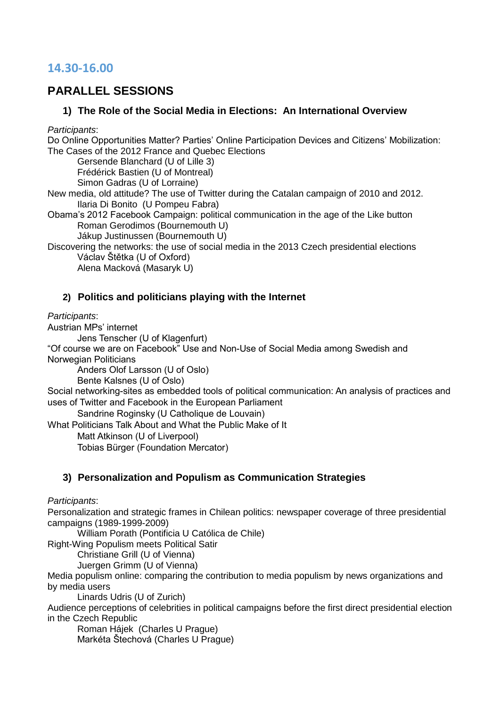### **14.30-16.00**

### **PARALLEL SESSIONS**

#### **1) The Role of the Social Media in Elections: An International Overview**

*Participants*:

Do Online Opportunities Matter? Parties' Online Participation Devices and Citizens' Mobilization: The Cases of the 2012 France and Quebec Elections

Gersende Blanchard (U of Lille 3)

Frédérick Bastien (U of Montreal) Simon Gadras (U of Lorraine)

New media, old attitude? The use of Twitter during the Catalan campaign of 2010 and 2012. Ilaria Di Bonito (U Pompeu Fabra)

Obama's 2012 Facebook Campaign: political communication in the age of the Like button Roman Gerodimos (Bournemouth U)

Jákup Justinussen (Bournemouth U)

Discovering the networks: the use of social media in the 2013 Czech presidential elections Václav Štětka (U of Oxford)

Alena Macková (Masaryk U)

### **2) Politics and politicians playing with the Internet**

*Participants*:

Austrian MPs' internet

Jens Tenscher (U of Klagenfurt)

"Of course we are on Facebook" Use and Non-Use of Social Media among Swedish and Norwegian Politicians

Anders Olof Larsson (U of Oslo)

Bente Kalsnes (U of Oslo)

Social networking-sites as embedded tools of political communication: An analysis of practices and uses of Twitter and Facebook in the European Parliament

Sandrine Roginsky (U Catholique de Louvain)

What Politicians Talk About and What the Public Make of It

Matt Atkinson (U of Liverpool)

Tobias Bürger (Foundation Mercator)

### **3) Personalization and Populism as Communication Strategies**

*Participants*:

Personalization and strategic frames in Chilean politics: newspaper coverage of three presidential campaigns (1989-1999-2009)

William Porath (Pontificia U Católica de Chile)

Right-Wing Populism meets Political Satir

Christiane Grill (U of Vienna)

Juergen Grimm (U of Vienna)

Media populism online: comparing the contribution to media populism by news organizations and by media users

Linards Udris (U of Zurich)

Audience perceptions of celebrities in political campaigns before the first direct presidential election in the Czech Republic

Roman Hájek (Charles U Prague)

Markéta Štechová (Charles U Prague)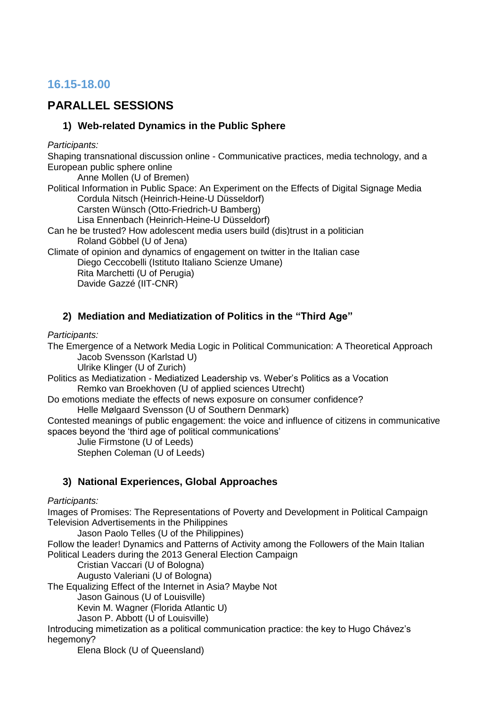### **16.15-18.00**

### **PARALLEL SESSIONS**

#### **1) Web-related Dynamics in the Public Sphere**

*Participants:*

Shaping transnational discussion online - Communicative practices, media technology, and a European public sphere online

Anne Mollen (U of Bremen) Political Information in Public Space: An Experiment on the Effects of Digital Signage Media Cordula Nitsch (Heinrich-Heine-U Düsseldorf) Carsten Wünsch (Otto-Friedrich-U Bamberg) Lisa Ennenbach (Heinrich-Heine-U Düsseldorf) Can he be trusted? How adolescent media users build (dis)trust in a politician Roland Göbbel (U of Jena)

Climate of opinion and dynamics of engagement on twitter in the Italian case Diego Ceccobelli (Istituto Italiano Scienze Umane) Rita Marchetti (U of Perugia)

Davide Gazzé (IIT-CNR)

#### **2) Mediation and Mediatization of Politics in the "Third Age"**

#### *Participants:*

The Emergence of a Network Media Logic in Political Communication: A Theoretical Approach Jacob Svensson (Karlstad U)

Ulrike Klinger (U of Zurich)

Politics as Mediatization - Mediatized Leadership vs. Weber's Politics as a Vocation Remko van Broekhoven (U of applied sciences Utrecht)

Do emotions mediate the effects of news exposure on consumer confidence? Helle Mølgaard Svensson (U of Southern Denmark)

Contested meanings of public engagement: the voice and influence of citizens in communicative spaces beyond the 'third age of political communications'

Julie Firmstone (U of Leeds)

Stephen Coleman (U of Leeds)

#### **3) National Experiences, Global Approaches**

#### *Participants:*

Images of Promises: The Representations of Poverty and Development in Political Campaign Television Advertisements in the Philippines

Jason Paolo Telles (U of the Philippines)

Follow the leader! Dynamics and Patterns of Activity among the Followers of the Main Italian Political Leaders during the 2013 General Election Campaign

Cristian Vaccari (U of Bologna)

Augusto Valeriani (U of Bologna)

The Equalizing Effect of the Internet in Asia? Maybe Not

Jason Gainous (U of Louisville)

Kevin M. Wagner (Florida Atlantic U)

Jason P. Abbott (U of Louisville)

Introducing mimetization as a political communication practice: the key to Hugo Chávez's hegemony?

Elena Block (U of Queensland)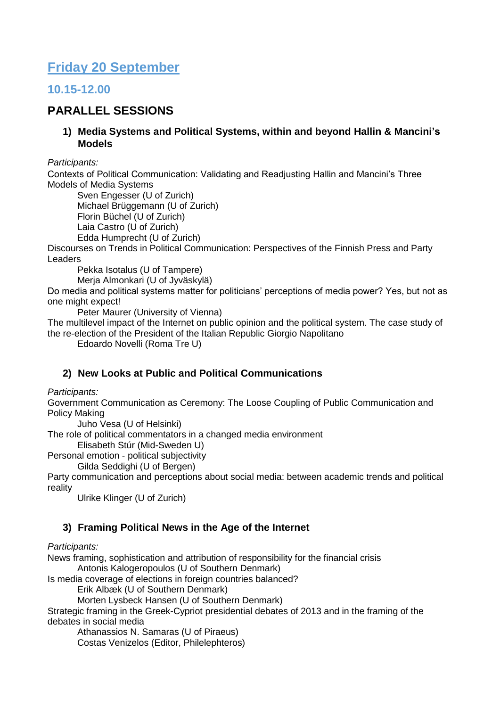# **Friday 20 September**

### **10.15-12.00**

### **PARALLEL SESSIONS**

**1) Media Systems and Political Systems, within and beyond Hallin & Mancini's Models**

*Participants:*

Contexts of Political Communication: Validating and Readjusting Hallin and Mancini's Three Models of Media Systems

Sven Engesser (U of Zurich) Michael Brüggemann (U of Zurich) Florin Büchel (U of Zurich) Laia Castro (U of Zurich)

Edda Humprecht (U of Zurich)

Discourses on Trends in Political Communication: Perspectives of the Finnish Press and Party Leaders

Pekka Isotalus (U of Tampere)

Merja Almonkari (U of Jyväskylä)

Do media and political systems matter for politicians' perceptions of media power? Yes, but not as one might expect!

Peter Maurer (University of Vienna)

The multilevel impact of the Internet on public opinion and the political system. The case study of the re-election of the President of the Italian Republic Giorgio Napolitano

Edoardo Novelli (Roma Tre U)

#### **2) New Looks at Public and Political Communications**

*Participants:*

Government Communication as Ceremony: The Loose Coupling of Public Communication and Policy Making

Juho Vesa (U of Helsinki)

The role of political commentators in a changed media environment

Elisabeth Stúr (Mid-Sweden U)

Personal emotion - political subjectivity

Gilda Seddighi (U of Bergen)

Party communication and perceptions about social media: between academic trends and political reality

Ulrike Klinger (U of Zurich)

#### **3) Framing Political News in the Age of the Internet**

#### *Participants:*

News framing, sophistication and attribution of responsibility for the financial crisis Antonis Kalogeropoulos (U of Southern Denmark)

Is media coverage of elections in foreign countries balanced?

Erik Albæk (U of Southern Denmark)

Morten Lysbeck Hansen (U of Southern Denmark)

Strategic framing in the Greek-Cypriot presidential debates of 2013 and in the framing of the debates in social media

Athanassios N. Samaras (U of Piraeus)

Costas Venizelos (Editor, Philelephteros)